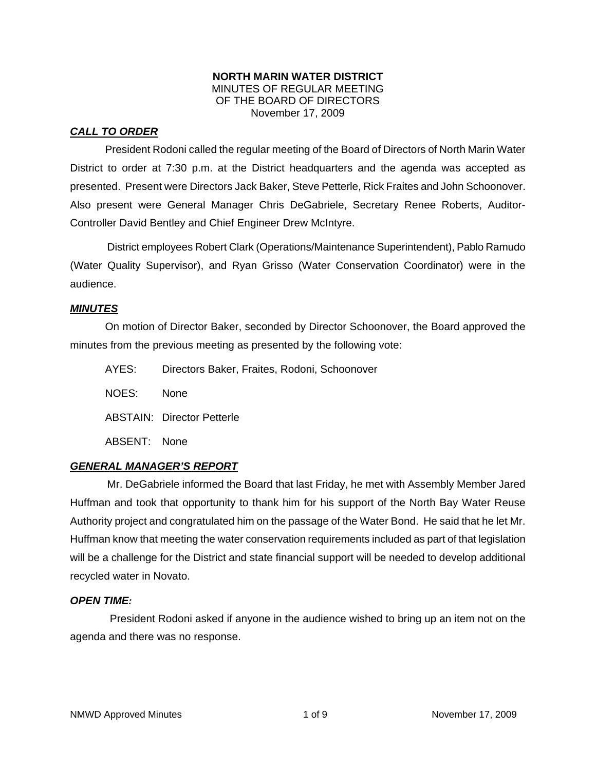### **NORTH MARIN WATER DISTRICT**  MINUTES OF REGULAR MEETING OF THE BOARD OF DIRECTORS November 17, 2009

# *CALL TO ORDER*

President Rodoni called the regular meeting of the Board of Directors of North Marin Water District to order at 7:30 p.m. at the District headquarters and the agenda was accepted as presented. Present were Directors Jack Baker, Steve Petterle, Rick Fraites and John Schoonover. Also present were General Manager Chris DeGabriele, Secretary Renee Roberts, Auditor-Controller David Bentley and Chief Engineer Drew McIntyre.

District employees Robert Clark (Operations/Maintenance Superintendent), Pablo Ramudo (Water Quality Supervisor), and Ryan Grisso (Water Conservation Coordinator) were in the audience.

## *MINUTES*

 On motion of Director Baker, seconded by Director Schoonover, the Board approved the minutes from the previous meeting as presented by the following vote:

| AYES:        | Directors Baker, Fraites, Rodoni, Schoonover |
|--------------|----------------------------------------------|
| NOES:        | <b>None</b>                                  |
|              | <b>ABSTAIN: Director Petterle</b>            |
| ABSENT: None |                                              |

# *GENERAL MANAGER'S REPORT*

Mr. DeGabriele informed the Board that last Friday, he met with Assembly Member Jared Huffman and took that opportunity to thank him for his support of the North Bay Water Reuse Authority project and congratulated him on the passage of the Water Bond. He said that he let Mr. Huffman know that meeting the water conservation requirements included as part of that legislation will be a challenge for the District and state financial support will be needed to develop additional recycled water in Novato.

# *OPEN TIME:*

President Rodoni asked if anyone in the audience wished to bring up an item not on the agenda and there was no response.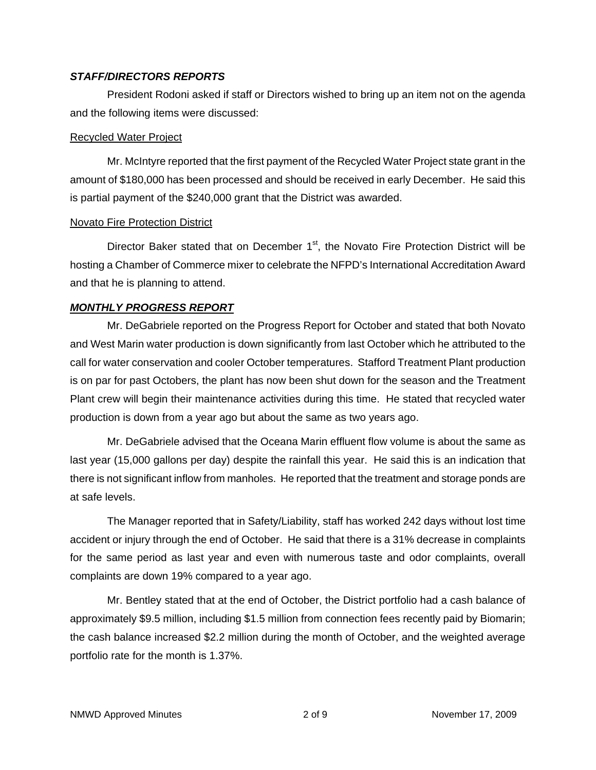### *STAFF/DIRECTORS REPORTS*

President Rodoni asked if staff or Directors wished to bring up an item not on the agenda and the following items were discussed:

### Recycled Water Project

Mr. McIntyre reported that the first payment of the Recycled Water Project state grant in the amount of \$180,000 has been processed and should be received in early December. He said this is partial payment of the \$240,000 grant that the District was awarded.

### Novato Fire Protection District

Director Baker stated that on December  $1<sup>st</sup>$ , the Novato Fire Protection District will be hosting a Chamber of Commerce mixer to celebrate the NFPD's International Accreditation Award and that he is planning to attend.

### *MONTHLY PROGRESS REPORT*

Mr. DeGabriele reported on the Progress Report for October and stated that both Novato and West Marin water production is down significantly from last October which he attributed to the call for water conservation and cooler October temperatures. Stafford Treatment Plant production is on par for past Octobers, the plant has now been shut down for the season and the Treatment Plant crew will begin their maintenance activities during this time. He stated that recycled water production is down from a year ago but about the same as two years ago.

Mr. DeGabriele advised that the Oceana Marin effluent flow volume is about the same as last year (15,000 gallons per day) despite the rainfall this year. He said this is an indication that there is not significant inflow from manholes. He reported that the treatment and storage ponds are at safe levels.

The Manager reported that in Safety/Liability, staff has worked 242 days without lost time accident or injury through the end of October. He said that there is a 31% decrease in complaints for the same period as last year and even with numerous taste and odor complaints, overall complaints are down 19% compared to a year ago.

Mr. Bentley stated that at the end of October, the District portfolio had a cash balance of approximately \$9.5 million, including \$1.5 million from connection fees recently paid by Biomarin; the cash balance increased \$2.2 million during the month of October, and the weighted average portfolio rate for the month is 1.37%.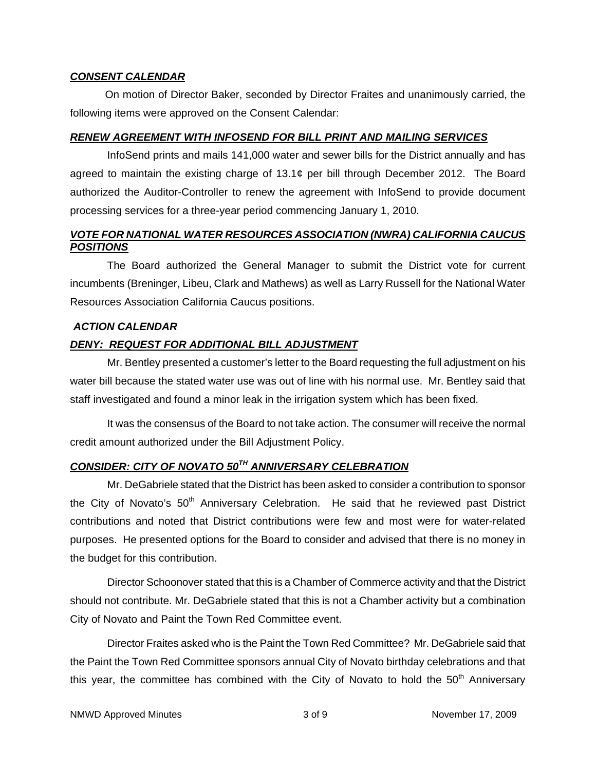#### *CONSENT CALENDAR*

 On motion of Director Baker, seconded by Director Fraites and unanimously carried, the following items were approved on the Consent Calendar:

### *RENEW AGREEMENT WITH INFOSEND FOR BILL PRINT AND MAILING SERVICES*

InfoSend prints and mails 141,000 water and sewer bills for the District annually and has agreed to maintain the existing charge of 13.1¢ per bill through December 2012. The Board authorized the Auditor-Controller to renew the agreement with InfoSend to provide document processing services for a three-year period commencing January 1, 2010.

## *VOTE FOR NATIONAL WATER RESOURCES ASSOCIATION (NWRA) CALIFORNIA CAUCUS POSITIONS*

The Board authorized the General Manager to submit the District vote for current incumbents (Breninger, Libeu, Clark and Mathews) as well as Larry Russell for the National Water Resources Association California Caucus positions.

## *ACTION CALENDAR*

# *DENY: REQUEST FOR ADDITIONAL BILL ADJUSTMENT*

Mr. Bentley presented a customer's letter to the Board requesting the full adjustment on his water bill because the stated water use was out of line with his normal use. Mr. Bentley said that staff investigated and found a minor leak in the irrigation system which has been fixed.

It was the consensus of the Board to not take action. The consumer will receive the normal credit amount authorized under the Bill Adjustment Policy.

# *CONSIDER: CITY OF NOVATO 50TH ANNIVERSARY CELEBRATION*

Mr. DeGabriele stated that the District has been asked to consider a contribution to sponsor the City of Novato's  $50<sup>th</sup>$  Anniversary Celebration. He said that he reviewed past District contributions and noted that District contributions were few and most were for water-related purposes. He presented options for the Board to consider and advised that there is no money in the budget for this contribution.

Director Schoonover stated that this is a Chamber of Commerce activity and that the District should not contribute. Mr. DeGabriele stated that this is not a Chamber activity but a combination City of Novato and Paint the Town Red Committee event.

Director Fraites asked who is the Paint the Town Red Committee? Mr. DeGabriele said that the Paint the Town Red Committee sponsors annual City of Novato birthday celebrations and that this year, the committee has combined with the City of Novato to hold the  $50<sup>th</sup>$  Anniversary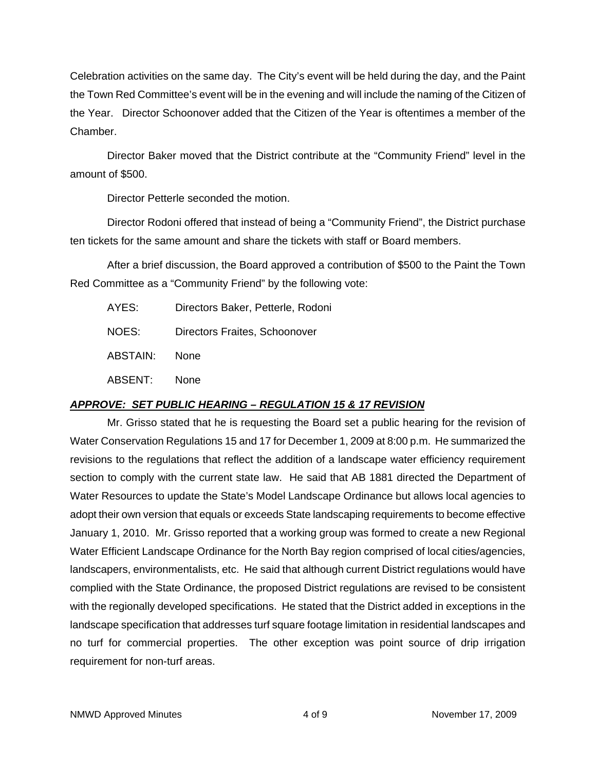Celebration activities on the same day. The City's event will be held during the day, and the Paint the Town Red Committee's event will be in the evening and will include the naming of the Citizen of the Year. Director Schoonover added that the Citizen of the Year is oftentimes a member of the Chamber.

Director Baker moved that the District contribute at the "Community Friend" level in the amount of \$500.

Director Petterle seconded the motion.

Director Rodoni offered that instead of being a "Community Friend", the District purchase ten tickets for the same amount and share the tickets with staff or Board members.

After a brief discussion, the Board approved a contribution of \$500 to the Paint the Town Red Committee as a "Community Friend" by the following vote:

| AYES:    | Directors Baker, Petterle, Rodoni |
|----------|-----------------------------------|
| NOES:    | Directors Fraites, Schoonover     |
| ABSTAIN: | <b>None</b>                       |
| ABSENT:  | None                              |

# *APPROVE: SET PUBLIC HEARING – REGULATION 15 & 17 REVISION*

Mr. Grisso stated that he is requesting the Board set a public hearing for the revision of Water Conservation Regulations 15 and 17 for December 1, 2009 at 8:00 p.m. He summarized the revisions to the regulations that reflect the addition of a landscape water efficiency requirement section to comply with the current state law. He said that AB 1881 directed the Department of Water Resources to update the State's Model Landscape Ordinance but allows local agencies to adopt their own version that equals or exceeds State landscaping requirements to become effective January 1, 2010. Mr. Grisso reported that a working group was formed to create a new Regional Water Efficient Landscape Ordinance for the North Bay region comprised of local cities/agencies, landscapers, environmentalists, etc. He said that although current District regulations would have complied with the State Ordinance, the proposed District regulations are revised to be consistent with the regionally developed specifications. He stated that the District added in exceptions in the landscape specification that addresses turf square footage limitation in residential landscapes and no turf for commercial properties. The other exception was point source of drip irrigation requirement for non-turf areas.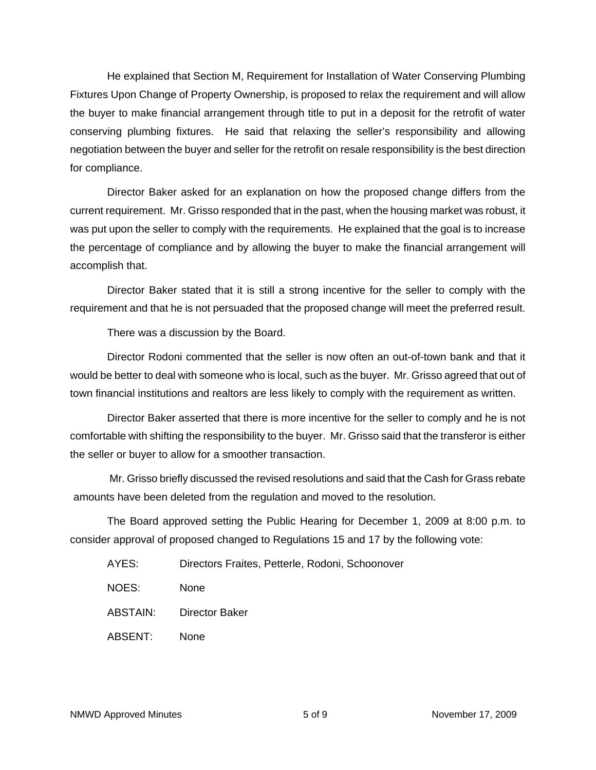He explained that Section M, Requirement for Installation of Water Conserving Plumbing Fixtures Upon Change of Property Ownership, is proposed to relax the requirement and will allow the buyer to make financial arrangement through title to put in a deposit for the retrofit of water conserving plumbing fixtures. He said that relaxing the seller's responsibility and allowing negotiation between the buyer and seller for the retrofit on resale responsibility is the best direction for compliance.

Director Baker asked for an explanation on how the proposed change differs from the current requirement. Mr. Grisso responded that in the past, when the housing market was robust, it was put upon the seller to comply with the requirements. He explained that the goal is to increase the percentage of compliance and by allowing the buyer to make the financial arrangement will accomplish that.

Director Baker stated that it is still a strong incentive for the seller to comply with the requirement and that he is not persuaded that the proposed change will meet the preferred result.

There was a discussion by the Board.

Director Rodoni commented that the seller is now often an out-of-town bank and that it would be better to deal with someone who is local, such as the buyer. Mr. Grisso agreed that out of town financial institutions and realtors are less likely to comply with the requirement as written.

Director Baker asserted that there is more incentive for the seller to comply and he is not comfortable with shifting the responsibility to the buyer. Mr. Grisso said that the transferor is either the seller or buyer to allow for a smoother transaction.

 Mr. Grisso briefly discussed the revised resolutions and said that the Cash for Grass rebate amounts have been deleted from the regulation and moved to the resolution.

The Board approved setting the Public Hearing for December 1, 2009 at 8:00 p.m. to consider approval of proposed changed to Regulations 15 and 17 by the following vote:

- AYES: Directors Fraites, Petterle, Rodoni, Schoonover
- NOES: None
- ABSTAIN: Director Baker
- ABSENT: None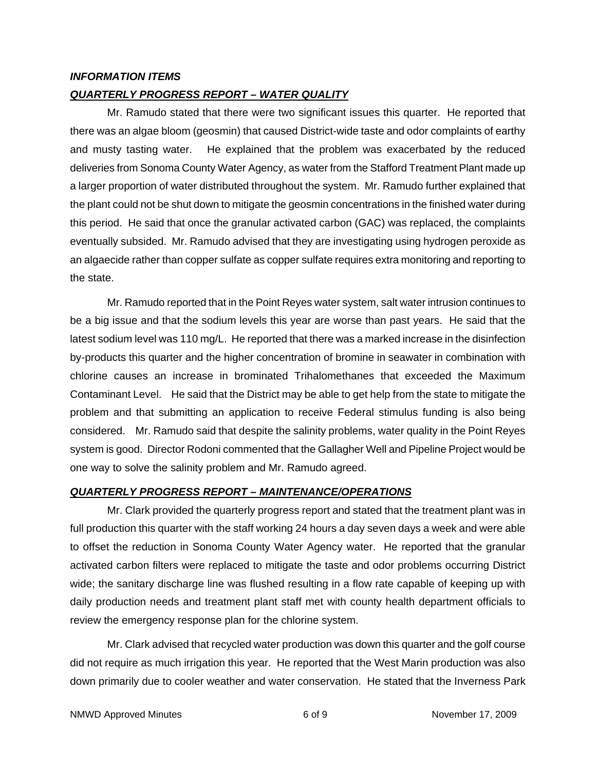### *INFORMATION ITEMS*

### *QUARTERLY PROGRESS REPORT – WATER QUALITY*

Mr. Ramudo stated that there were two significant issues this quarter. He reported that there was an algae bloom (geosmin) that caused District-wide taste and odor complaints of earthy and musty tasting water. He explained that the problem was exacerbated by the reduced deliveries from Sonoma County Water Agency, as water from the Stafford Treatment Plant made up a larger proportion of water distributed throughout the system. Mr. Ramudo further explained that the plant could not be shut down to mitigate the geosmin concentrations in the finished water during this period. He said that once the granular activated carbon (GAC) was replaced, the complaints eventually subsided. Mr. Ramudo advised that they are investigating using hydrogen peroxide as an algaecide rather than copper sulfate as copper sulfate requires extra monitoring and reporting to the state.

Mr. Ramudo reported that in the Point Reyes water system, salt water intrusion continues to be a big issue and that the sodium levels this year are worse than past years. He said that the latest sodium level was 110 mg/L. He reported that there was a marked increase in the disinfection by-products this quarter and the higher concentration of bromine in seawater in combination with chlorine causes an increase in brominated Trihalomethanes that exceeded the Maximum Contaminant Level. He said that the District may be able to get help from the state to mitigate the problem and that submitting an application to receive Federal stimulus funding is also being considered. Mr. Ramudo said that despite the salinity problems, water quality in the Point Reyes system is good. Director Rodoni commented that the Gallagher Well and Pipeline Project would be one way to solve the salinity problem and Mr. Ramudo agreed.

#### *QUARTERLY PROGRESS REPORT – MAINTENANCE/OPERATIONS*

Mr. Clark provided the quarterly progress report and stated that the treatment plant was in full production this quarter with the staff working 24 hours a day seven days a week and were able to offset the reduction in Sonoma County Water Agency water. He reported that the granular activated carbon filters were replaced to mitigate the taste and odor problems occurring District wide; the sanitary discharge line was flushed resulting in a flow rate capable of keeping up with daily production needs and treatment plant staff met with county health department officials to review the emergency response plan for the chlorine system.

Mr. Clark advised that recycled water production was down this quarter and the golf course did not require as much irrigation this year. He reported that the West Marin production was also down primarily due to cooler weather and water conservation. He stated that the Inverness Park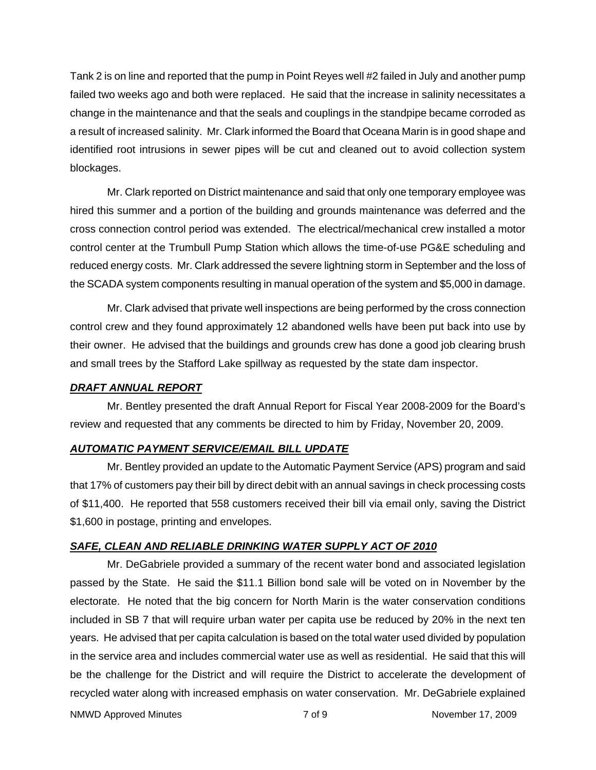Tank 2 is on line and reported that the pump in Point Reyes well #2 failed in July and another pump failed two weeks ago and both were replaced. He said that the increase in salinity necessitates a change in the maintenance and that the seals and couplings in the standpipe became corroded as a result of increased salinity. Mr. Clark informed the Board that Oceana Marin is in good shape and identified root intrusions in sewer pipes will be cut and cleaned out to avoid collection system blockages.

Mr. Clark reported on District maintenance and said that only one temporary employee was hired this summer and a portion of the building and grounds maintenance was deferred and the cross connection control period was extended. The electrical/mechanical crew installed a motor control center at the Trumbull Pump Station which allows the time-of-use PG&E scheduling and reduced energy costs. Mr. Clark addressed the severe lightning storm in September and the loss of the SCADA system components resulting in manual operation of the system and \$5,000 in damage.

Mr. Clark advised that private well inspections are being performed by the cross connection control crew and they found approximately 12 abandoned wells have been put back into use by their owner. He advised that the buildings and grounds crew has done a good job clearing brush and small trees by the Stafford Lake spillway as requested by the state dam inspector.

### *DRAFT ANNUAL REPORT*

Mr. Bentley presented the draft Annual Report for Fiscal Year 2008-2009 for the Board's review and requested that any comments be directed to him by Friday, November 20, 2009.

### *AUTOMATIC PAYMENT SERVICE/EMAIL BILL UPDATE*

Mr. Bentley provided an update to the Automatic Payment Service (APS) program and said that 17% of customers pay their bill by direct debit with an annual savings in check processing costs of \$11,400. He reported that 558 customers received their bill via email only, saving the District \$1,600 in postage, printing and envelopes.

### *SAFE, CLEAN AND RELIABLE DRINKING WATER SUPPLY ACT OF 2010*

Mr. DeGabriele provided a summary of the recent water bond and associated legislation passed by the State. He said the \$11.1 Billion bond sale will be voted on in November by the electorate. He noted that the big concern for North Marin is the water conservation conditions included in SB 7 that will require urban water per capita use be reduced by 20% in the next ten years. He advised that per capita calculation is based on the total water used divided by population in the service area and includes commercial water use as well as residential. He said that this will be the challenge for the District and will require the District to accelerate the development of recycled water along with increased emphasis on water conservation. Mr. DeGabriele explained

NMWD Approved Minutes and the Control of Control of 9 November 17, 2009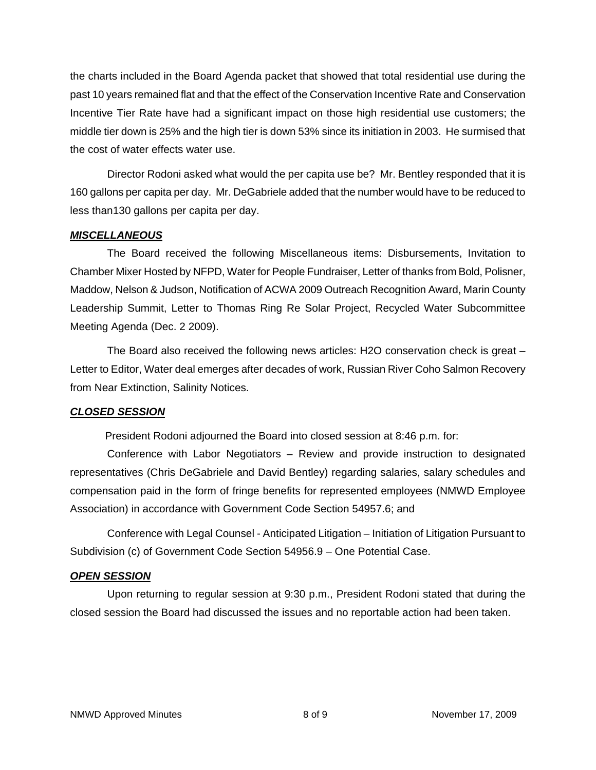the charts included in the Board Agenda packet that showed that total residential use during the past 10 years remained flat and that the effect of the Conservation Incentive Rate and Conservation Incentive Tier Rate have had a significant impact on those high residential use customers; the middle tier down is 25% and the high tier is down 53% since its initiation in 2003. He surmised that the cost of water effects water use.

Director Rodoni asked what would the per capita use be? Mr. Bentley responded that it is 160 gallons per capita per day. Mr. DeGabriele added that the number would have to be reduced to less than130 gallons per capita per day.

## *MISCELLANEOUS*

The Board received the following Miscellaneous items: Disbursements, Invitation to Chamber Mixer Hosted by NFPD, Water for People Fundraiser, Letter of thanks from Bold, Polisner, Maddow, Nelson & Judson, Notification of ACWA 2009 Outreach Recognition Award, Marin County Leadership Summit, Letter to Thomas Ring Re Solar Project, Recycled Water Subcommittee Meeting Agenda (Dec. 2 2009).

The Board also received the following news articles: H2O conservation check is great – Letter to Editor, Water deal emerges after decades of work, Russian River Coho Salmon Recovery from Near Extinction, Salinity Notices.

### *CLOSED SESSION*

President Rodoni adjourned the Board into closed session at 8:46 p.m. for:

Conference with Labor Negotiators – Review and provide instruction to designated representatives (Chris DeGabriele and David Bentley) regarding salaries, salary schedules and compensation paid in the form of fringe benefits for represented employees (NMWD Employee Association) in accordance with Government Code Section 54957.6; and

Conference with Legal Counsel - Anticipated Litigation – Initiation of Litigation Pursuant to Subdivision (c) of Government Code Section 54956.9 – One Potential Case.

### *OPEN SESSION*

Upon returning to regular session at 9:30 p.m., President Rodoni stated that during the closed session the Board had discussed the issues and no reportable action had been taken.